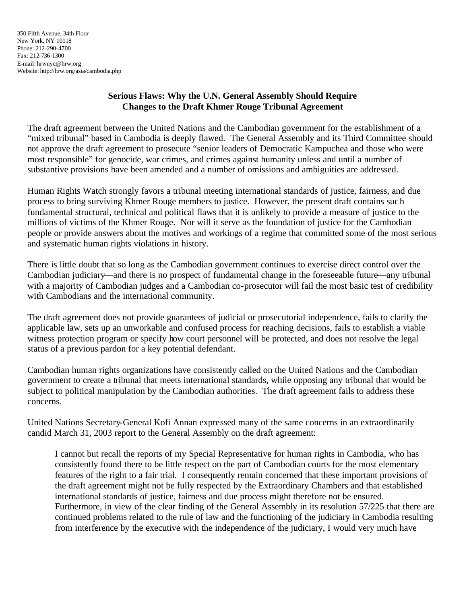## **Serious Flaws: Why the U.N. General Assembly Should Require Changes to the Draft Khmer Rouge Tribunal Agreement**

The draft agreement between the United Nations and the Cambodian government for the establishment of a "mixed tribunal" based in Cambodia is deeply flawed. The General Assembly and its Third Committee should not approve the draft agreement to prosecute "senior leaders of Democratic Kampuchea and those who were most responsible" for genocide, war crimes, and crimes against humanity unless and until a number of substantive provisions have been amended and a number of omissions and ambiguities are addressed.

Human Rights Watch strongly favors a tribunal meeting international standards of justice, fairness, and due process to bring surviving Khmer Rouge members to justice. However, the present draft contains such fundamental structural, technical and political flaws that it is unlikely to provide a measure of justice to the millions of victims of the Khmer Rouge. Nor will it serve as the foundation of justice for the Cambodian people or provide answers about the motives and workings of a regime that committed some of the most serious and systematic human rights violations in history.

There is little doubt that so long as the Cambodian government continues to exercise direct control over the Cambodian judiciary––and there is no prospect of fundamental change in the foreseeable future––any tribunal with a majority of Cambodian judges and a Cambodian co-prosecutor will fail the most basic test of credibility with Cambodians and the international community.

The draft agreement does not provide guarantees of judicial or prosecutorial independence, fails to clarify the applicable law, sets up an unworkable and confused process for reaching decisions, fails to establish a viable witness protection program or specify how court personnel will be protected, and does not resolve the legal status of a previous pardon for a key potential defendant.

Cambodian human rights organizations have consistently called on the United Nations and the Cambodian government to create a tribunal that meets international standards, while opposing any tribunal that would be subject to political manipulation by the Cambodian authorities. The draft agreement fails to address these concerns.

United Nations Secretary-General Kofi Annan expressed many of the same concerns in an extraordinarily candid March 31, 2003 report to the General Assembly on the draft agreement:

I cannot but recall the reports of my Special Representative for human rights in Cambodia, who has consistently found there to be little respect on the part of Cambodian courts for the most elementary features of the right to a fair trial. I consequently remain concerned that these important provisions of the draft agreement might not be fully respected by the Extraordinary Chambers and that established international standards of justice, fairness and due process might therefore not be ensured. Furthermore, in view of the clear finding of the General Assembly in its resolution 57/225 that there are continued problems related to the rule of law and the functioning of the judiciary in Cambodia resulting from interference by the executive with the independence of the judiciary, I would very much have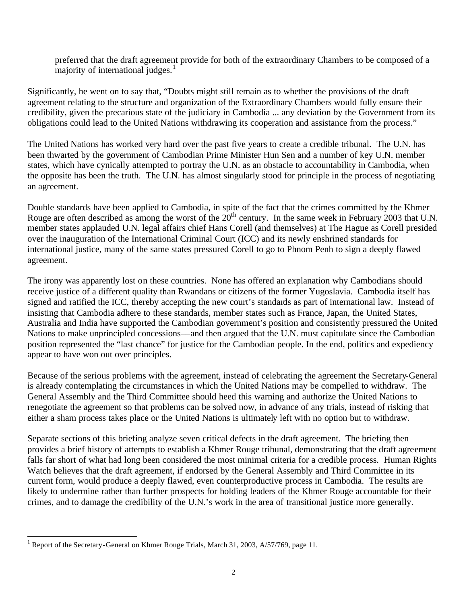preferred that the draft agreement provide for both of the extraordinary Chambers to be composed of a majority of international judges. $<sup>1</sup>$ </sup>

Significantly, he went on to say that, "Doubts might still remain as to whether the provisions of the draft agreement relating to the structure and organization of the Extraordinary Chambers would fully ensure their credibility, given the precarious state of the judiciary in Cambodia ... any deviation by the Government from its obligations could lead to the United Nations withdrawing its cooperation and assistance from the process."

The United Nations has worked very hard over the past five years to create a credible tribunal. The U.N. has been thwarted by the government of Cambodian Prime Minister Hun Sen and a number of key U.N. member states, which have cynically attempted to portray the U.N. as an obstacle to accountability in Cambodia, when the opposite has been the truth. The U.N. has almost singularly stood for principle in the process of negotiating an agreement.

Double standards have been applied to Cambodia, in spite of the fact that the crimes committed by the Khmer Rouge are often described as among the worst of the  $20<sup>th</sup>$  century. In the same week in February 2003 that U.N. member states applauded U.N. legal affairs chief Hans Corell (and themselves) at The Hague as Corell presided over the inauguration of the International Criminal Court (ICC) and its newly enshrined standards for international justice, many of the same states pressured Corell to go to Phnom Penh to sign a deeply flawed agreement.

The irony was apparently lost on these countries. None has offered an explanation why Cambodians should receive justice of a different quality than Rwandans or citizens of the former Yugoslavia. Cambodia itself has signed and ratified the ICC, thereby accepting the new court's standards as part of international law. Instead of insisting that Cambodia adhere to these standards, member states such as France, Japan, the United States, Australia and India have supported the Cambodian government's position and consistently pressured the United Nations to make unprincipled concessions––and then argued that the U.N. must capitulate since the Cambodian position represented the "last chance" for justice for the Cambodian people. In the end, politics and expediency appear to have won out over principles.

Because of the serious problems with the agreement, instead of celebrating the agreement the Secretary-General is already contemplating the circumstances in which the United Nations may be compelled to withdraw. The General Assembly and the Third Committee should heed this warning and authorize the United Nations to renegotiate the agreement so that problems can be solved now, in advance of any trials, instead of risking that either a sham process takes place or the United Nations is ultimately left with no option but to withdraw.

Separate sections of this briefing analyze seven critical defects in the draft agreement. The briefing then provides a brief history of attempts to establish a Khmer Rouge tribunal, demonstrating that the draft agreement falls far short of what had long been considered the most minimal criteria for a credible process. Human Rights Watch believes that the draft agreement, if endorsed by the General Assembly and Third Committee in its current form, would produce a deeply flawed, even counterproductive process in Cambodia. The results are likely to undermine rather than further prospects for holding leaders of the Khmer Rouge accountable for their crimes, and to damage the credibility of the U.N.'s work in the area of transitional justice more generally.

l

<sup>&</sup>lt;sup>1</sup> Report of the Secretary-General on Khmer Rouge Trials, March 31, 2003, A/57/769, page 11.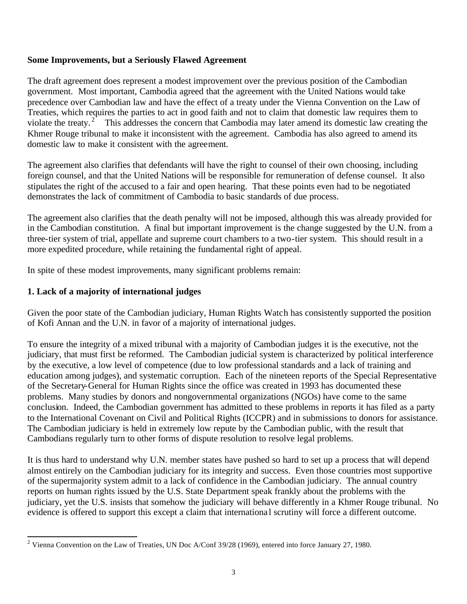### **Some Improvements, but a Seriously Flawed Agreement**

The draft agreement does represent a modest improvement over the previous position of the Cambodian government. Most important, Cambodia agreed that the agreement with the United Nations would take precedence over Cambodian law and have the effect of a treaty under the Vienna Convention on the Law of Treaties, which requires the parties to act in good faith and not to claim that domestic law requires them to violate the treaty.<sup>2</sup> This addresses the concern that Cambodia may later amend its domestic law creating the Khmer Rouge tribunal to make it inconsistent with the agreement. Cambodia has also agreed to amend its domestic law to make it consistent with the agreement.

The agreement also clarifies that defendants will have the right to counsel of their own choosing, including foreign counsel, and that the United Nations will be responsible for remuneration of defense counsel. It also stipulates the right of the accused to a fair and open hearing. That these points even had to be negotiated demonstrates the lack of commitment of Cambodia to basic standards of due process.

The agreement also clarifies that the death penalty will not be imposed, although this was already provided for in the Cambodian constitution. A final but important improvement is the change suggested by the U.N. from a three-tier system of trial, appellate and supreme court chambers to a two-tier system. This should result in a more expedited procedure, while retaining the fundamental right of appeal.

In spite of these modest improvements, many significant problems remain:

## **1. Lack of a majority of international judges**

l

Given the poor state of the Cambodian judiciary, Human Rights Watch has consistently supported the position of Kofi Annan and the U.N. in favor of a majority of international judges.

To ensure the integrity of a mixed tribunal with a majority of Cambodian judges it is the executive, not the judiciary, that must first be reformed. The Cambodian judicial system is characterized by political interference by the executive, a low level of competence (due to low professional standards and a lack of training and education among judges), and systematic corruption. Each of the nineteen reports of the Special Representative of the Secretary-General for Human Rights since the office was created in 1993 has documented these problems. Many studies by donors and nongovernmental organizations (NGOs) have come to the same conclusion. Indeed, the Cambodian government has admitted to these problems in reports it has filed as a party to the International Covenant on Civil and Political Rights (ICCPR) and in submissions to donors for assistance. The Cambodian judiciary is held in extremely low repute by the Cambodian public, with the result that Cambodians regularly turn to other forms of dispute resolution to resolve legal problems.

It is thus hard to understand why U.N. member states have pushed so hard to set up a process that will depend almost entirely on the Cambodian judiciary for its integrity and success. Even those countries most supportive of the supermajority system admit to a lack of confidence in the Cambodian judiciary. The annual country reports on human rights issued by the U.S. State Department speak frankly about the problems with the judiciary, yet the U.S. insists that somehow the judiciary will behave differently in a Khmer Rouge tribunal. No evidence is offered to support this except a claim that internationa l scrutiny will force a different outcome.

<sup>&</sup>lt;sup>2</sup> Vienna Convention on the Law of Treaties, UN Doc A/Conf 39/28 (1969), entered into force January 27, 1980.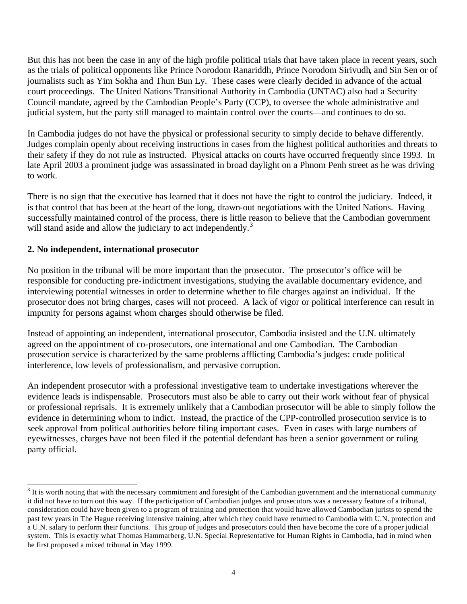But this has not been the case in any of the high profile political trials that have taken place in recent years, such as the trials of political opponents like Prince Norodom Ranariddh, Prince Norodom Sirivudh, and Sin Sen or of journalists such as Yim Sokha and Thun Bun Ly. These cases were clearly decided in advance of the actual court proceedings. The United Nations Transitional Authority in Cambodia (UNTAC) also had a Security Council mandate, agreed by the Cambodian People's Party (CCP), to oversee the whole administrative and judicial system, but the party still managed to maintain control over the courts––and continues to do so.

In Cambodia judges do not have the physical or professional security to simply decide to behave differently. Judges complain openly about receiving instructions in cases from the highest political authorities and threats to their safety if they do not rule as instructed. Physical attacks on courts have occurred frequently since 1993. In late April 2003 a prominent judge was assassinated in broad daylight on a Phnom Penh street as he was driving to work.

There is no sign that the executive has learned that it does not have the right to control the judiciary. Indeed, it is that control that has been at the heart of the long, drawn-out negotiations with the United Nations. Having successfully maintained control of the process, there is little reason to believe that the Cambodian government will stand aside and allow the judiciary to act independently.<sup>3</sup>

# **2. No independent, international prosecutor**

l

No position in the tribunal will be more important than the prosecutor. The prosecutor's office will be responsible for conducting pre-indictment investigations, studying the available documentary evidence, and interviewing potential witnesses in order to determine whether to file charges against an individual. If the prosecutor does not bring charges, cases will not proceed. A lack of vigor or political interference can result in impunity for persons against whom charges should otherwise be filed.

Instead of appointing an independent, international prosecutor, Cambodia insisted and the U.N. ultimately agreed on the appointment of co-prosecutors, one international and one Cambodian. The Cambodian prosecution service is characterized by the same problems afflicting Cambodia's judges: crude political interference, low levels of professionalism, and pervasive corruption.

An independent prosecutor with a professional investigative team to undertake investigations wherever the evidence leads is indispensable. Prosecutors must also be able to carry out their work without fear of physical or professional reprisals. It is extremely unlikely that a Cambodian prosecutor will be able to simply follow the evidence in determining whom to indict. Instead, the practice of the CPP-controlled prosecution service is to seek approval from political authorities before filing important cases. Even in cases with large numbers of eyewitnesses, charges have not been filed if the potential defendant has been a senior government or ruling party official.

 $3$  It is worth noting that with the necessary commitment and foresight of the Cambodian government and the international community it did not have to turn out this way. If the participation of Cambodian judges and prosecutors was a necessary feature of a tribunal, consideration could have been given to a program of training and protection that would have allowed Cambodian jurists to spend the past few years in The Hague receiving intensive training, after which they could have returned to Cambodia with U.N. protection and a U.N. salary to perform their functions. This group of judges and prosecutors could then have become the core of a proper judicial system. This is exactly what Thomas Hammarberg, U.N. Special Representative for Human Rights in Cambodia, had in mind when he first proposed a mixed tribunal in May 1999.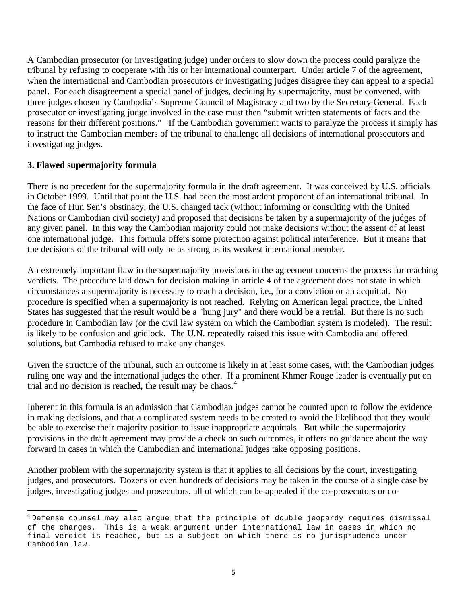A Cambodian prosecutor (or investigating judge) under orders to slow down the process could paralyze the tribunal by refusing to cooperate with his or her international counterpart. Under article 7 of the agreement, when the international and Cambodian prosecutors or investigating judges disagree they can appeal to a special panel. For each disagreement a special panel of judges, deciding by supermajority, must be convened, with three judges chosen by Cambodia's Supreme Council of Magistracy and two by the Secretary-General. Each prosecutor or investigating judge involved in the case must then "submit written statements of facts and the reasons for their different positions." If the Cambodian government wants to paralyze the process it simply has to instruct the Cambodian members of the tribunal to challenge all decisions of international prosecutors and investigating judges.

## **3. Flawed supermajority formula**

There is no precedent for the supermajority formula in the draft agreement. It was conceived by U.S. officials in October 1999. Until that point the U.S. had been the most ardent proponent of an international tribunal. In the face of Hun Sen's obstinacy, the U.S. changed tack (without informing or consulting with the United Nations or Cambodian civil society) and proposed that decisions be taken by a supermajority of the judges of any given panel. In this way the Cambodian majority could not make decisions without the assent of at least one international judge. This formula offers some protection against political interference. But it means that the decisions of the tribunal will only be as strong as its weakest international member.

An extremely important flaw in the supermajority provisions in the agreement concerns the process for reaching verdicts. The procedure laid down for decision making in article 4 of the agreement does not state in which circumstances a supermajority is necessary to reach a decision, i.e., for a conviction or an acquittal. No procedure is specified when a supermajority is not reached. Relying on American legal practice, the United States has suggested that the result would be a "hung jury" and there would be a retrial. But there is no such procedure in Cambodian law (or the civil law system on which the Cambodian system is modeled). The result is likely to be confusion and gridlock. The U.N. repeatedly raised this issue with Cambodia and offered solutions, but Cambodia refused to make any changes.

Given the structure of the tribunal, such an outcome is likely in at least some cases, with the Cambodian judges ruling one way and the international judges the other. If a prominent Khmer Rouge leader is eventually put on trial and no decision is reached, the result may be chaos.<sup>4</sup>

Inherent in this formula is an admission that Cambodian judges cannot be counted upon to follow the evidence in making decisions, and that a complicated system needs to be created to avoid the likelihood that they would be able to exercise their majority position to issue inappropriate acquittals. But while the supermajority provisions in the draft agreement may provide a check on such outcomes, it offers no guidance about the way forward in cases in which the Cambodian and international judges take opposing positions.

Another problem with the supermajority system is that it applies to all decisions by the court, investigating judges, and prosecutors. Dozens or even hundreds of decisions may be taken in the course of a single case by judges, investigating judges and prosecutors, all of which can be appealed if the co-prosecutors or co-

 4 Defense counsel may also argue that the principle of double jeopardy requires dismissal of the charges. This is a weak argument under international law in cases in which no final verdict is reached, but is a subject on which there is no jurisprudence under Cambodian law.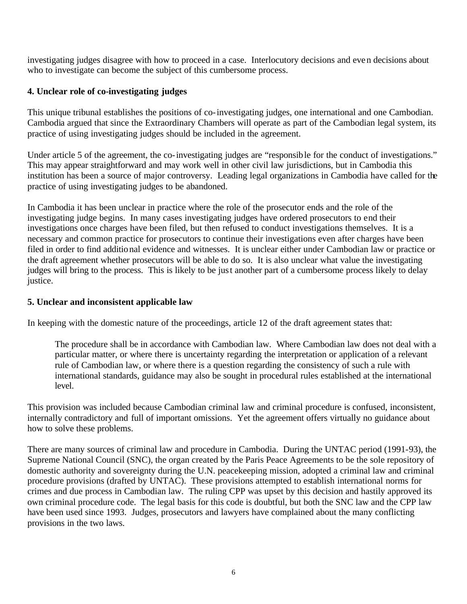investigating judges disagree with how to proceed in a case. Interlocutory decisions and even decisions about who to investigate can become the subject of this cumbersome process.

## **4. Unclear role of co-investigating judges**

This unique tribunal establishes the positions of co-investigating judges, one international and one Cambodian. Cambodia argued that since the Extraordinary Chambers will operate as part of the Cambodian legal system, its practice of using investigating judges should be included in the agreement.

Under article 5 of the agreement, the co-investigating judges are "responsible for the conduct of investigations." This may appear straightforward and may work well in other civil law jurisdictions, but in Cambodia this institution has been a source of major controversy. Leading legal organizations in Cambodia have called for the practice of using investigating judges to be abandoned.

In Cambodia it has been unclear in practice where the role of the prosecutor ends and the role of the investigating judge begins. In many cases investigating judges have ordered prosecutors to end their investigations once charges have been filed, but then refused to conduct investigations themselves. It is a necessary and common practice for prosecutors to continue their investigations even after charges have been filed in order to find additional evidence and witnesses. It is unclear either under Cambodian law or practice or the draft agreement whether prosecutors will be able to do so. It is also unclear what value the investigating judges will bring to the process. This is likely to be just another part of a cumbersome process likely to delay justice.

## **5. Unclear and inconsistent applicable law**

In keeping with the domestic nature of the proceedings, article 12 of the draft agreement states that:

The procedure shall be in accordance with Cambodian law. Where Cambodian law does not deal with a particular matter, or where there is uncertainty regarding the interpretation or application of a relevant rule of Cambodian law, or where there is a question regarding the consistency of such a rule with international standards, guidance may also be sought in procedural rules established at the international level.

This provision was included because Cambodian criminal law and criminal procedure is confused, inconsistent, internally contradictory and full of important omissions. Yet the agreement offers virtually no guidance about how to solve these problems.

There are many sources of criminal law and procedure in Cambodia. During the UNTAC period (1991-93), the Supreme National Council (SNC), the organ created by the Paris Peace Agreements to be the sole repository of domestic authority and sovereignty during the U.N. peacekeeping mission, adopted a criminal law and criminal procedure provisions (drafted by UNTAC). These provisions attempted to establish international norms for crimes and due process in Cambodian law. The ruling CPP was upset by this decision and hastily approved its own criminal procedure code. The legal basis for this code is doubtful, but both the SNC law and the CPP law have been used since 1993. Judges, prosecutors and lawyers have complained about the many conflicting provisions in the two laws.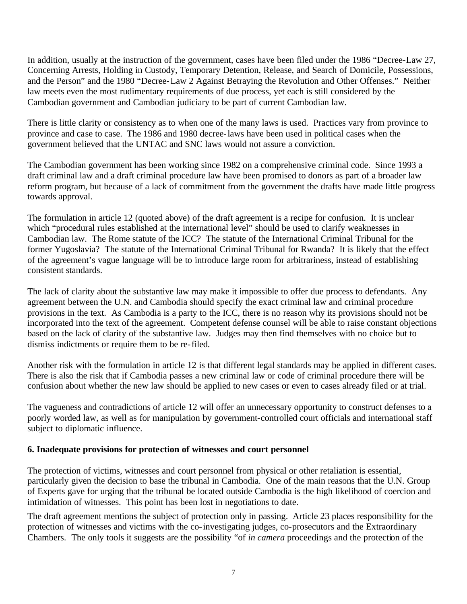In addition, usually at the instruction of the government, cases have been filed under the 1986 "Decree-Law 27, Concerning Arrests, Holding in Custody, Temporary Detention, Release, and Search of Domicile, Possessions, and the Person" and the 1980 "Decree-Law 2 Against Betraying the Revolution and Other Offenses." Neither law meets even the most rudimentary requirements of due process, yet each is still considered by the Cambodian government and Cambodian judiciary to be part of current Cambodian law.

There is little clarity or consistency as to when one of the many laws is used. Practices vary from province to province and case to case. The 1986 and 1980 decree-laws have been used in political cases when the government believed that the UNTAC and SNC laws would not assure a conviction.

The Cambodian government has been working since 1982 on a comprehensive criminal code. Since 1993 a draft criminal law and a draft criminal procedure law have been promised to donors as part of a broader law reform program, but because of a lack of commitment from the government the drafts have made little progress towards approval.

The formulation in article 12 (quoted above) of the draft agreement is a recipe for confusion. It is unclear which "procedural rules established at the international level" should be used to clarify weaknesses in Cambodian law. The Rome statute of the ICC? The statute of the International Criminal Tribunal for the former Yugoslavia? The statute of the International Criminal Tribunal for Rwanda? It is likely that the effect of the agreement's vague language will be to introduce large room for arbitrariness, instead of establishing consistent standards.

The lack of clarity about the substantive law may make it impossible to offer due process to defendants. Any agreement between the U.N. and Cambodia should specify the exact criminal law and criminal procedure provisions in the text. As Cambodia is a party to the ICC, there is no reason why its provisions should not be incorporated into the text of the agreement. Competent defense counsel will be able to raise constant objections based on the lack of clarity of the substantive law. Judges may then find themselves with no choice but to dismiss indictments or require them to be re-filed.

Another risk with the formulation in article 12 is that different legal standards may be applied in different cases. There is also the risk that if Cambodia passes a new criminal law or code of criminal procedure there will be confusion about whether the new law should be applied to new cases or even to cases already filed or at trial.

The vagueness and contradictions of article 12 will offer an unnecessary opportunity to construct defenses to a poorly worded law, as well as for manipulation by government-controlled court officials and international staff subject to diplomatic influence.

## **6. Inadequate provisions for protection of witnesses and court personnel**

The protection of victims, witnesses and court personnel from physical or other retaliation is essential, particularly given the decision to base the tribunal in Cambodia. One of the main reasons that the U.N. Group of Experts gave for urging that the tribunal be located outside Cambodia is the high likelihood of coercion and intimidation of witnesses. This point has been lost in negotiations to date.

The draft agreement mentions the subject of protection only in passing. Article 23 places responsibility for the protection of witnesses and victims with the co-investigating judges, co-prosecutors and the Extraordinary Chambers. The only tools it suggests are the possibility "of *in camera* proceedings and the protection of the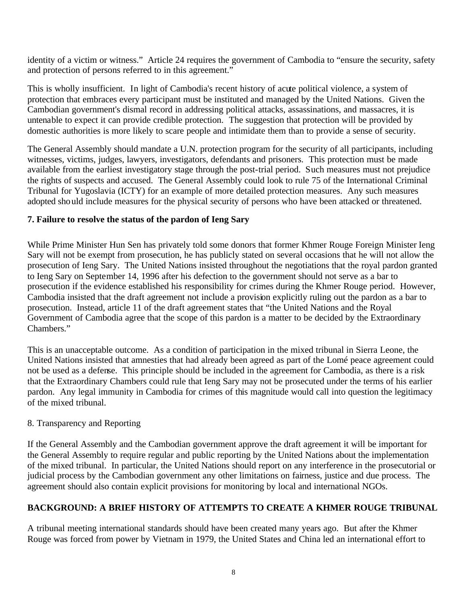identity of a victim or witness." Article 24 requires the government of Cambodia to "ensure the security, safety and protection of persons referred to in this agreement."

This is wholly insufficient. In light of Cambodia's recent history of acute political violence, a system of protection that embraces every participant must be instituted and managed by the United Nations. Given the Cambodian government's dismal record in addressing political attacks, assassinations, and massacres, it is untenable to expect it can provide credible protection. The suggestion that protection will be provided by domestic authorities is more likely to scare people and intimidate them than to provide a sense of security.

The General Assembly should mandate a U.N. protection program for the security of all participants, including witnesses, victims, judges, lawyers, investigators, defendants and prisoners. This protection must be made available from the earliest investigatory stage through the post-trial period. Such measures must not prejudice the rights of suspects and accused. The General Assembly could look to rule 75 of the International Criminal Tribunal for Yugoslavia (ICTY) for an example of more detailed protection measures. Any such measures adopted should include measures for the physical security of persons who have been attacked or threatened.

## **7. Failure to resolve the status of the pardon of Ieng Sary**

While Prime Minister Hun Sen has privately told some donors that former Khmer Rouge Foreign Minister Ieng Sary will not be exempt from prosecution, he has publicly stated on several occasions that he will not allow the prosecution of Ieng Sary. The United Nations insisted throughout the negotiations that the royal pardon granted to Ieng Sary on September 14, 1996 after his defection to the government should not serve as a bar to prosecution if the evidence established his responsibility for crimes during the Khmer Rouge period. However, Cambodia insisted that the draft agreement not include a provision explicitly ruling out the pardon as a bar to prosecution. Instead, article 11 of the draft agreement states that "the United Nations and the Royal Government of Cambodia agree that the scope of this pardon is a matter to be decided by the Extraordinary Chambers."

This is an unacceptable outcome. As a condition of participation in the mixed tribunal in Sierra Leone, the United Nations insisted that amnesties that had already been agreed as part of the Lomé peace agreement could not be used as a defense. This principle should be included in the agreement for Cambodia, as there is a risk that the Extraordinary Chambers could rule that Ieng Sary may not be prosecuted under the terms of his earlier pardon. Any legal immunity in Cambodia for crimes of this magnitude would call into question the legitimacy of the mixed tribunal.

## 8. Transparency and Reporting

If the General Assembly and the Cambodian government approve the draft agreement it will be important for the General Assembly to require regular and public reporting by the United Nations about the implementation of the mixed tribunal. In particular, the United Nations should report on any interference in the prosecutorial or judicial process by the Cambodian government any other limitations on fairness, justice and due process. The agreement should also contain explicit provisions for monitoring by local and international NGOs.

## **BACKGROUND: A BRIEF HISTORY OF ATTEMPTS TO CREATE A KHMER ROUGE TRIBUNAL**

A tribunal meeting international standards should have been created many years ago. But after the Khmer Rouge was forced from power by Vietnam in 1979, the United States and China led an international effort to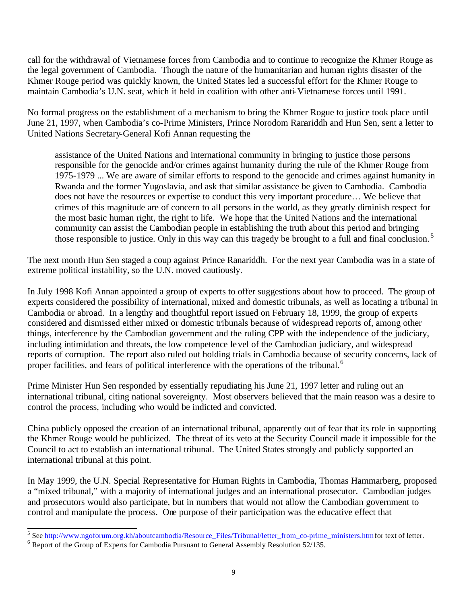call for the withdrawal of Vietnamese forces from Cambodia and to continue to recognize the Khmer Rouge as the legal government of Cambodia. Though the nature of the humanitarian and human rights disaster of the Khmer Rouge period was quickly known, the United States led a successful effort for the Khmer Rouge to maintain Cambodia's U.N. seat, which it held in coalition with other anti-Vietnamese forces until 1991.

No formal progress on the establishment of a mechanism to bring the Khmer Rogue to justice took place until June 21, 1997, when Cambodia's co-Prime Ministers, Prince Norodom Ranariddh and Hun Sen, sent a letter to United Nations Secretary-General Kofi Annan requesting the

assistance of the United Nations and international community in bringing to justice those persons responsible for the genocide and/or crimes against humanity during the rule of the Khmer Rouge from 1975-1979 ... We are aware of similar efforts to respond to the genocide and crimes against humanity in Rwanda and the former Yugoslavia, and ask that similar assistance be given to Cambodia. Cambodia does not have the resources or expertise to conduct this very important procedure… We believe that crimes of this magnitude are of concern to all persons in the world, as they greatly diminish respect for the most basic human right, the right to life. We hope that the United Nations and the international community can assist the Cambodian people in establishing the truth about this period and bringing those responsible to justice. Only in this way can this tragedy be brought to a full and final conclusion.<sup>5</sup>

The next month Hun Sen staged a coup against Prince Ranariddh. For the next year Cambodia was in a state of extreme political instability, so the U.N. moved cautiously.

In July 1998 Kofi Annan appointed a group of experts to offer suggestions about how to proceed. The group of experts considered the possibility of international, mixed and domestic tribunals, as well as locating a tribunal in Cambodia or abroad. In a lengthy and thoughtful report issued on February 18, 1999, the group of experts considered and dismissed either mixed or domestic tribunals because of widespread reports of, among other things, interference by the Cambodian government and the ruling CPP with the independence of the judiciary, including intimidation and threats, the low competence level of the Cambodian judiciary, and widespread reports of corruption. The report also ruled out holding trials in Cambodia because of security concerns, lack of proper facilities, and fears of political interference with the operations of the tribunal.<sup>6</sup>

Prime Minister Hun Sen responded by essentially repudiating his June 21, 1997 letter and ruling out an international tribunal, citing national sovereignty. Most observers believed that the main reason was a desire to control the process, including who would be indicted and convicted.

China publicly opposed the creation of an international tribunal, apparently out of fear that its role in supporting the Khmer Rouge would be publicized. The threat of its veto at the Security Council made it impossible for the Council to act to establish an international tribunal. The United States strongly and publicly supported an international tribunal at this point.

In May 1999, the U.N. Special Representative for Human Rights in Cambodia, Thomas Hammarberg, proposed a "mixed tribunal," with a majority of international judges and an international prosecutor. Cambodian judges and prosecutors would also participate, but in numbers that would not allow the Cambodian government to control and manipulate the process. One purpose of their participation was the educative effect that

<sup>&</sup>lt;sup>5</sup> See http://www.ngoforum.org.kh/aboutcambodia/Resource\_Files/Tribunal/letter\_from\_co-prime\_ministers.htm for text of letter.

 $6$  Report of the Group of Experts for Cambodia Pursuant to General Assembly Resolution 52/135.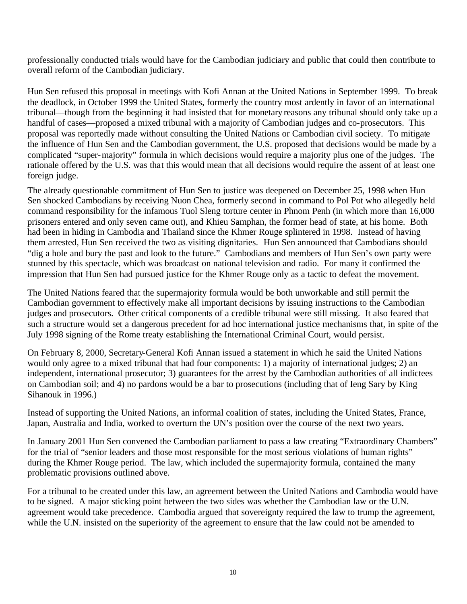professionally conducted trials would have for the Cambodian judiciary and public that could then contribute to overall reform of the Cambodian judiciary.

Hun Sen refused this proposal in meetings with Kofi Annan at the United Nations in September 1999. To break the deadlock, in October 1999 the United States, formerly the country most ardently in favor of an international tribunal––though from the beginning it had insisted that for monetary reasons any tribunal should only take up a handful of cases––proposed a mixed tribunal with a majority of Cambodian judges and co-prosecutors. This proposal was reportedly made without consulting the United Nations or Cambodian civil society. To mitigate the influence of Hun Sen and the Cambodian government, the U.S. proposed that decisions would be made by a complicated "super-majority" formula in which decisions would require a majority plus one of the judges. The rationale offered by the U.S. was that this would mean that all decisions would require the assent of at least one foreign judge.

The already questionable commitment of Hun Sen to justice was deepened on December 25, 1998 when Hun Sen shocked Cambodians by receiving Nuon Chea, formerly second in command to Pol Pot who allegedly held command responsibility for the infamous Tuol Sleng torture center in Phnom Penh (in which more than 16,000 prisoners entered and only seven came out), and Khieu Samphan, the former head of state, at his home. Both had been in hiding in Cambodia and Thailand since the Khmer Rouge splintered in 1998. Instead of having them arrested, Hun Sen received the two as visiting dignitaries. Hun Sen announced that Cambodians should "dig a hole and bury the past and look to the future." Cambodians and members of Hun Sen's own party were stunned by this spectacle, which was broadcast on national television and radio. For many it confirmed the impression that Hun Sen had pursued justice for the Khmer Rouge only as a tactic to defeat the movement.

The United Nations feared that the supermajority formula would be both unworkable and still permit the Cambodian government to effectively make all important decisions by issuing instructions to the Cambodian judges and prosecutors. Other critical components of a credible tribunal were still missing. It also feared that such a structure would set a dangerous precedent for ad hoc international justice mechanisms that, in spite of the July 1998 signing of the Rome treaty establishing the International Criminal Court, would persist.

On February 8, 2000, Secretary-General Kofi Annan issued a statement in which he said the United Nations would only agree to a mixed tribunal that had four components: 1) a majority of international judges; 2) an independent, international prosecutor; 3) guarantees for the arrest by the Cambodian authorities of all indictees on Cambodian soil; and 4) no pardons would be a bar to prosecutions (including that of Ieng Sary by King Sihanouk in 1996.)

Instead of supporting the United Nations, an informal coalition of states, including the United States, France, Japan, Australia and India, worked to overturn the UN's position over the course of the next two years.

In January 2001 Hun Sen convened the Cambodian parliament to pass a law creating "Extraordinary Chambers" for the trial of "senior leaders and those most responsible for the most serious violations of human rights" during the Khmer Rouge period. The law, which included the supermajority formula, contained the many problematic provisions outlined above.

For a tribunal to be created under this law, an agreement between the United Nations and Cambodia would have to be signed. A major sticking point between the two sides was whether the Cambodian law or the U.N. agreement would take precedence. Cambodia argued that sovereignty required the law to trump the agreement, while the U.N. insisted on the superiority of the agreement to ensure that the law could not be amended to